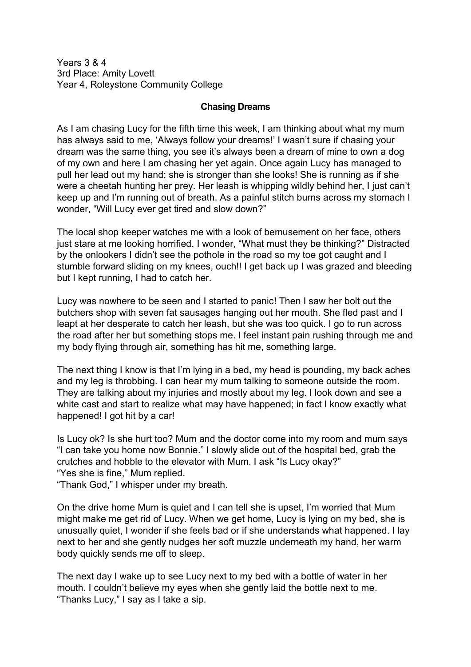Years 3 & 4 3rd Place: Amity Lovett Year 4, Roleystone Community College

## **Chasing Dreams**

As I am chasing Lucy for the fifth time this week, I am thinking about what my mum has always said to me, 'Always follow your dreams!' I wasn't sure if chasing your dream was the same thing, you see it's always been a dream of mine to own a dog of my own and here I am chasing her yet again. Once again Lucy has managed to pull her lead out my hand; she is stronger than she looks! She is running as if she were a cheetah hunting her prey. Her leash is whipping wildly behind her, I just can't keep up and I'm running out of breath. As a painful stitch burns across my stomach I wonder, "Will Lucy ever get tired and slow down?"

The local shop keeper watches me with a look of bemusement on her face, others just stare at me looking horrified. I wonder, "What must they be thinking?" Distracted by the onlookers I didn't see the pothole in the road so my toe got caught and I stumble forward sliding on my knees, ouch!! I get back up I was grazed and bleeding but I kept running, I had to catch her.

Lucy was nowhere to be seen and I started to panic! Then I saw her bolt out the butchers shop with seven fat sausages hanging out her mouth. She fled past and I leapt at her desperate to catch her leash, but she was too quick. I go to run across the road after her but something stops me. I feel instant pain rushing through me and my body flying through air, something has hit me, something large.

The next thing I know is that I'm lying in a bed, my head is pounding, my back aches and my leg is throbbing. I can hear my mum talking to someone outside the room. They are talking about my injuries and mostly about my leg. I look down and see a white cast and start to realize what may have happened; in fact I know exactly what happened! I got hit by a car!

Is Lucy ok? Is she hurt too? Mum and the doctor come into my room and mum says "I can take you home now Bonnie." I slowly slide out of the hospital bed, grab the crutches and hobble to the elevator with Mum. I ask "Is Lucy okay?" "Yes she is fine," Mum replied.

"Thank God," I whisper under my breath.

On the drive home Mum is quiet and I can tell she is upset, I'm worried that Mum might make me get rid of Lucy. When we get home, Lucy is lying on my bed, she is unusually quiet, I wonder if she feels bad or if she understands what happened. I lay next to her and she gently nudges her soft muzzle underneath my hand, her warm body quickly sends me off to sleep.

The next day I wake up to see Lucy next to my bed with a bottle of water in her mouth. I couldn't believe my eyes when she gently laid the bottle next to me. "Thanks Lucy," I say as I take a sip.